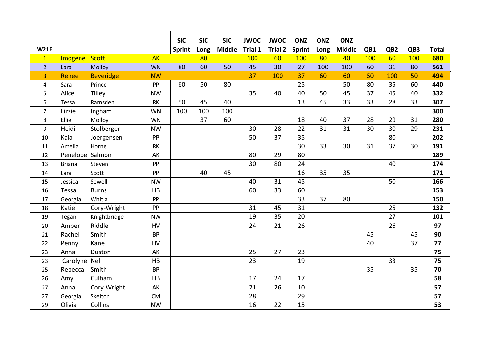|                |               |                  |               | <b>SIC</b>    | <b>SIC</b> | <b>SIC</b>    | <b>JWOC</b> | <b>JWOC</b>    | <b>ONZ</b>    | <b>ONZ</b> | <b>ONZ</b>    |     |                 |     |              |
|----------------|---------------|------------------|---------------|---------------|------------|---------------|-------------|----------------|---------------|------------|---------------|-----|-----------------|-----|--------------|
| <b>W21E</b>    |               |                  |               | <b>Sprint</b> | Long       | <b>Middle</b> | Trial 1     | <b>Trial 2</b> | <b>Sprint</b> | Long       | <b>Middle</b> | QB1 | QB <sub>2</sub> | QB3 | <b>Total</b> |
| $\mathbf{1}$   | Imogene       | Scott            | <b>AK</b>     |               | 80         |               | 100         | 60             | 100           | 80         | 40            | 100 | 60              | 100 | 680          |
| $\overline{2}$ | Lara          | Molloy           | <b>WN</b>     | 80            | 60         | 50            | 45          | 30             | 27            | 100        | 100           | 60  | 31              | 80  | 561          |
| 3              | Renee         | <b>Beveridge</b> | <b>NW</b>     |               |            |               | 37          | 100            | 37            | 60         | 60            | 50  | 100             | 50  | 494          |
| 4              | Sara          | Prince           | PP            | 60            | 50         | 80            |             |                | 25            |            | 50            | 80  | 35              | 60  | 440          |
| 5              | Alice         | Tilley           | <b>NW</b>     |               |            |               | 35          | 40             | 40            | 50         | 45            | 37  | 45              | 40  | 332          |
| 6              | Tessa         | Ramsden          | $\mathsf{RK}$ | 50            | 45         | 40            |             |                | 13            | 45         | 33            | 33  | 28              | 33  | 307          |
| $\overline{7}$ | Lizzie        | Ingham           | <b>WN</b>     | 100           | 100        | 100           |             |                |               |            |               |     |                 |     | 300          |
| 8              | Ellie         | Molloy           | <b>WN</b>     |               | 37         | 60            |             |                | 18            | 40         | 37            | 28  | 29              | 31  | 280          |
| 9              | Heidi         | Stolberger       | <b>NW</b>     |               |            |               | 30          | 28             | 22            | 31         | 31            | 30  | 30              | 29  | 231          |
| 10             | Kaia          | Joergensen       | PP            |               |            |               | 50          | 37             | 35            |            |               |     | 80              |     | 202          |
| 11             | Amelia        | Horne            | RK            |               |            |               |             |                | 30            | 33         | 30            | 31  | 37              | 30  | 191          |
| 12             | Penelope      | Salmon           | AK            |               |            |               | 80          | 29             | 80            |            |               |     |                 |     | 189          |
| 13             | <b>Briana</b> | Steven           | ${\sf PP}$    |               |            |               | 30          | 80             | 24            |            |               |     | 40              |     | 174          |
| 14             | Lara          | Scott            | PP            |               | 40         | 45            |             |                | 16            | 35         | 35            |     |                 |     | 171          |
| 15             | Jessica       | Sewell           | <b>NW</b>     |               |            |               | 40          | 31             | 45            |            |               |     | 50              |     | 166          |
| 16             | Tessa         | <b>Burns</b>     | HB            |               |            |               | 60          | 33             | 60            |            |               |     |                 |     | 153          |
| 17             | Georgia       | Whitla           | PP            |               |            |               |             |                | 33            | 37         | 80            |     |                 |     | 150          |
| 18             | Katie         | Cory-Wright      | PP            |               |            |               | 31          | 45             | 31            |            |               |     | 25              |     | 132          |
| 19             | Tegan         | Knightbridge     | <b>NW</b>     |               |            |               | 19          | 35             | 20            |            |               |     | 27              |     | 101          |
| 20             | Amber         | Riddle           | HV            |               |            |               | 24          | 21             | 26            |            |               |     | 26              |     | 97           |
| 21             | Rachel        | Smith            | <b>BP</b>     |               |            |               |             |                |               |            |               | 45  |                 | 45  | 90           |
| 22             | Penny         | Kane             | HV            |               |            |               |             |                |               |            |               | 40  |                 | 37  | 77           |
| 23             | Anna          | Duston           | AK            |               |            |               | 25          | 27             | 23            |            |               |     |                 |     | 75           |
| 23             | Carolyne      | Nel              | HB            |               |            |               | 23          |                | 19            |            |               |     | 33              |     | 75           |
| 25             | Rebecca       | Smith            | <b>BP</b>     |               |            |               |             |                |               |            |               | 35  |                 | 35  | 70           |
| 26             | Amy           | Culham           | HB            |               |            |               | 17          | 24             | 17            |            |               |     |                 |     | 58           |
| 27             | Anna          | Cory-Wright      | AK            |               |            |               | 21          | 26             | 10            |            |               |     |                 |     | 57           |
| 27             | Georgia       | Skelton          | ${\sf CM}$    |               |            |               | 28          |                | 29            |            |               |     |                 |     | 57           |
| 29             | Olivia        | Collins          | <b>NW</b>     |               |            |               | 16          | 22             | 15            |            |               |     |                 |     | 53           |